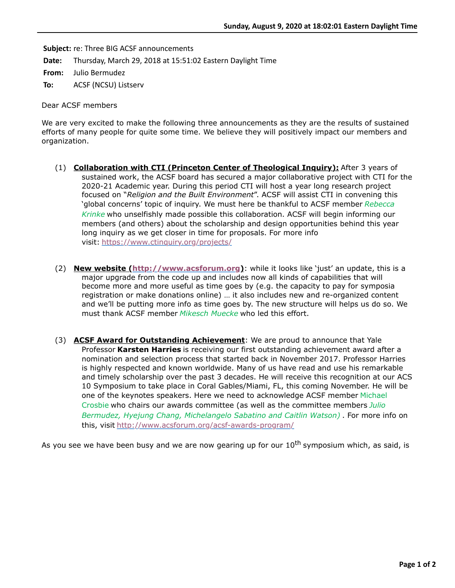**Subject:** re: Three BIG ACSF announcements

**Date:** Thursday, March 29, 2018 at 15:51:02 Eastern Daylight Time

**From:** Julio Bermudez

**To:** ACSF (NCSU) Listserv

Dear ACSF members

We are very excited to make the following three announcements as they are the results of sustained efforts of many people for quite some time. We believe they will positively impact our members and organization.

- (1) **Collaboration with CTI (Princeton Center of Theological Inquiry):** After 3 years of sustained work, the ACSF board has secured a major collaborative project with CTI for the 2020-21 Academic year. During this period CTI will host a year long research project focused on "*Religion and the Built Environment*". ACSF will assist CTI in convening this 'global concerns' topic of inquiry. We must here be thankful to ACSF member *Rebecca Krinke* who unselfishly made possible this collaboration. ACSF will begin informing our members (and others) about the scholarship and design opportunities behind this year long inquiry as we get closer in time for proposals. For more info visit: <https://www.ctinquiry.org/projects/>
- (2) **New website [\(http://www.acsforum.org](http://www.acsforum.org/))**: while it looks like 'just' an update, this is a major upgrade from the code up and includes now all kinds of capabilities that will become more and more useful as time goes by (e.g. the capacity to pay for symposia registration or make donations online) … it also includes new and re-organized content and we'll be putting more info as time goes by. The new structure will helps us do so. We must thank ACSF member *Mikesch Muecke* who led this effort.
- (3) **ACSF Award for Outstanding Achievement**: We are proud to announce that Yale Professor **Karsten Harries** is receiving our first outstanding achievement award after a nomination and selection process that started back in November 2017. Professor Harries is highly respected and known worldwide. Many of us have read and use his remarkable and timely scholarship over the past 3 decades. He will receive this recognition at our ACS 10 Symposium to take place in Coral Gables/Miami, FL, this coming November. He will be one of the keynotes speakers. Here we need to acknowledge ACSF member Michael Crosbie who chairs our awards committee (as well as the committee members *Julio Bermudez, Hyejung Chang, Michelangelo Sabatino and Caitlin Watson)* . For more info on this, visit <http://www.acsforum.org/acsf-awards-program/>

As you see we have been busy and we are now gearing up for our  $10^{th}$  symposium which, as said, is